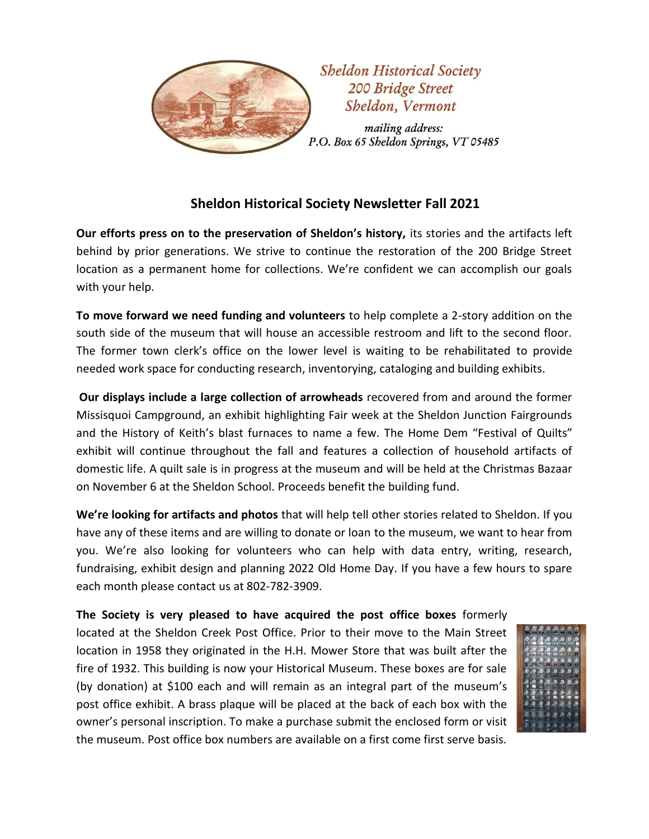

## **Sheldon Historical Society Newsletter Fall 2021**

**Our efforts press on to the preservation of Sheldon's history,** its stories and the artifacts left behind by prior generations. We strive to continue the restoration of the 200 Bridge Street location as a permanent home for collections. We're confident we can accomplish our goals with your help.

**To move forward we need funding and volunteers** to help complete a 2-story addition on the south side of the museum that will house an accessible restroom and lift to the second floor. The former town clerk's office on the lower level is waiting to be rehabilitated to provide needed work space for conducting research, inventorying, cataloging and building exhibits.

**Our displays include a large collection of arrowheads** recovered from and around the former Missisquoi Campground, an exhibit highlighting Fair week at the Sheldon Junction Fairgrounds and the History of Keith's blast furnaces to name a few. The Home Dem "Festival of Quilts" exhibit will continue throughout the fall and features a collection of household artifacts of domestic life. A quilt sale is in progress at the museum and will be held at the Christmas Bazaar on November 6 at the Sheldon School. Proceeds benefit the building fund.

**We're looking for artifacts and photos** that will help tell other stories related to Sheldon. If you have any of these items and are willing to donate or loan to the museum, we want to hear from you. We're also looking for volunteers who can help with data entry, writing, research, fundraising, exhibit design and planning 2022 Old Home Day. If you have a few hours to spare each month please contact us at 802-782-3909.

**The Society is very pleased to have acquired the post office boxes** formerly located at the Sheldon Creek Post Office. Prior to their move to the Main Street location in 1958 they originated in the H.H. Mower Store that was built after the fire of 1932. This building is now your Historical Museum. These boxes are for sale (by donation) at \$100 each and will remain as an integral part of the museum's post office exhibit. A brass plaque will be placed at the back of each box with the owner's personal inscription. To make a purchase submit the enclosed form or visit the museum. Post office box numbers are available on a first come first serve basis.